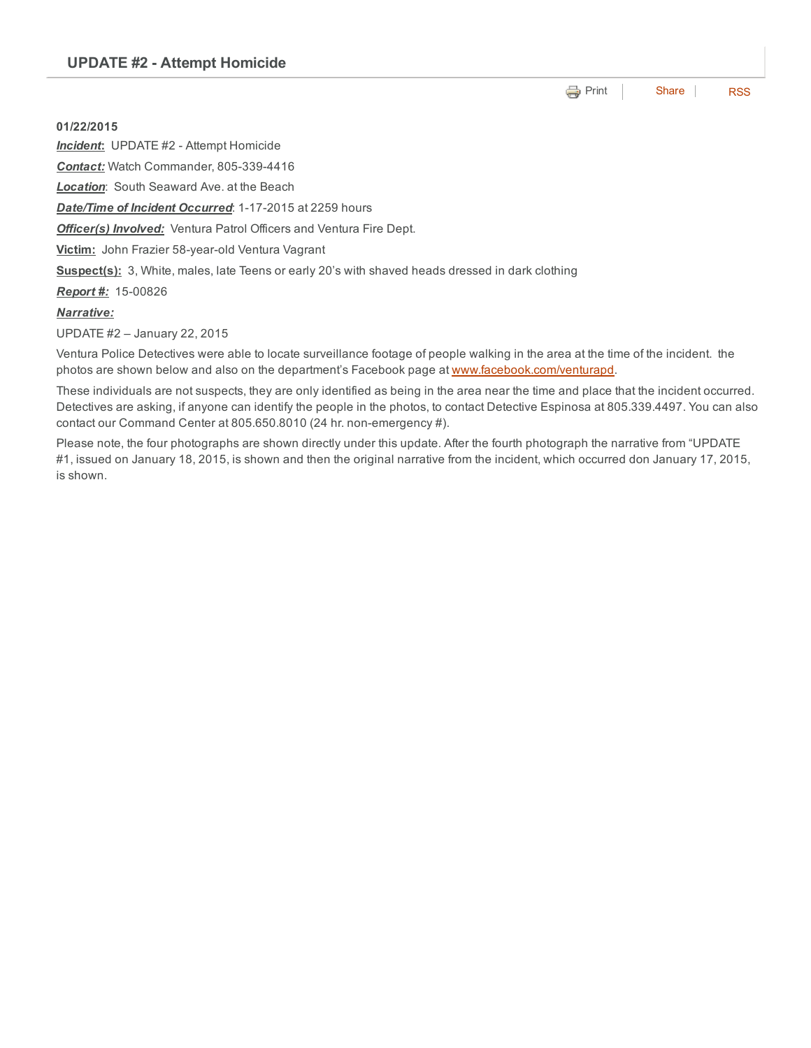**[Print](http://www.cityofventura.net/print/16450) [Share](javascript:void(0)) [RSS](http://www.cityofventura.net/feed/press_release/rss.xml)** 

01/22/2015 **Incident:** UPDATE #2 - Attempt Homicide **Contact:** Watch Commander, 805-339-4416 *Location*: South Seaward Ave. at the Beach **Date/Time of Incident Occurred:** 1-17-2015 at 2259 hours **Officer(s) Involved:** Ventura Patrol Officers and Ventura Fire Dept. Victim: John Frazier 58-year-old Ventura Vagrant Suspect(s): 3, White, males, late Teens or early 20's with shaved heads dressed in dark clothing **Report #:** 15-00826 *Narrative:*

UPDATE #2 – January 22, 2015

Ventura Police Detectives were able to locate surveillance footage of people walking in the area at the time of the incident. the photos are shown below and also on the department's Facebook page at [www.facebook.com/venturapd.](http://www.facebook.com/venturapd)

These individuals are not suspects, they are only identified as being in the area near the time and place that the incident occurred. Detectives are asking, if anyone can identify the people in the photos, to contact Detective Espinosa at 805.339.4497. You can also contact our Command Center at 805.650.8010 (24 hr. non-emergency #).

Please note, the four photographs are shown directly under this update. After the fourth photograph the narrative from "UPDATE #1, issued on January 18, 2015, is shown and then the original narrative from the incident, which occurred don January 17, 2015, is shown.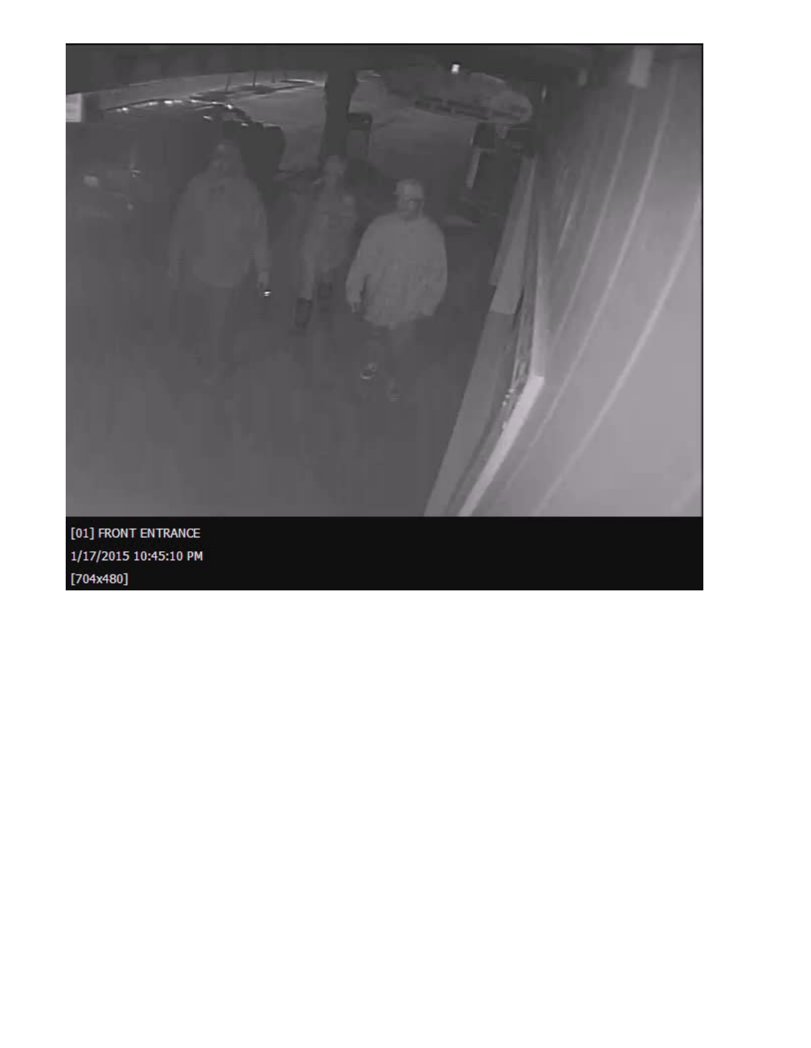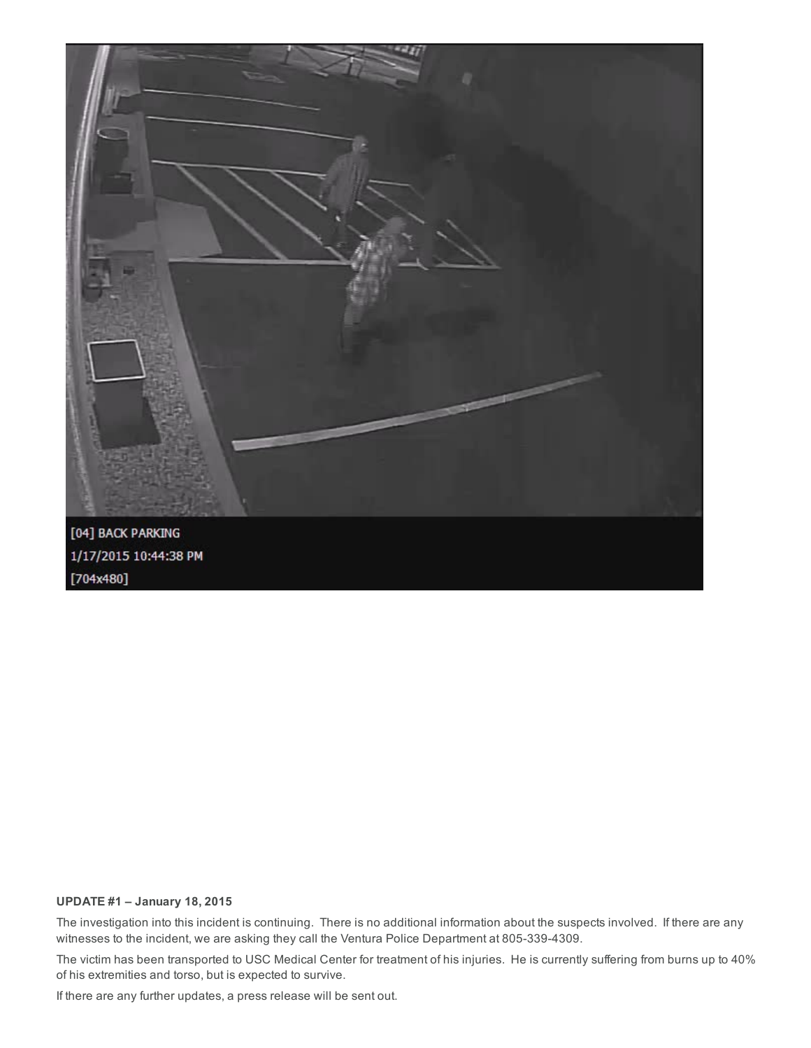

## UPDATE #1 – January 18, 2015

The investigation into this incident is continuing. There is no additional information about the suspects involved. If there are any witnesses to the incident, we are asking they call the Ventura Police Department at 805-339-4309.

The victim has been transported to USC Medical Center for treatment of his injuries. He is currently suffering from burns up to 40% of his extremities and torso, but is expected to survive.

If there are any further updates, a press release will be sent out.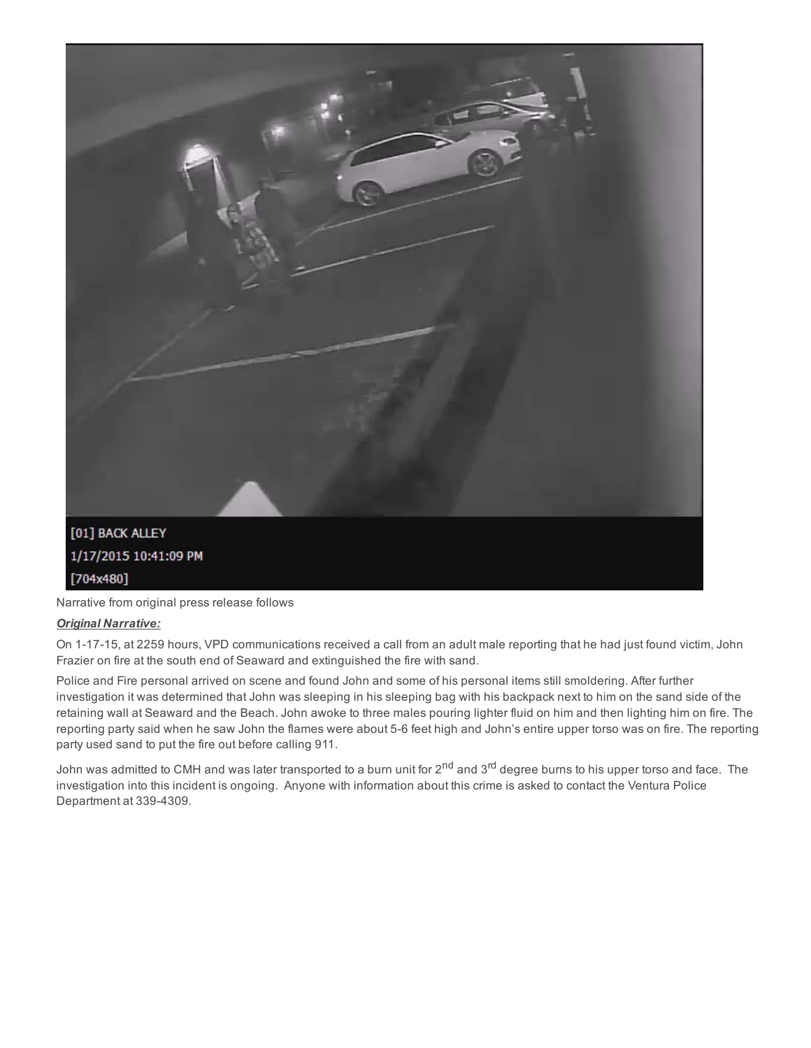

Narrative from original press release follows

## *Original Narrative:*

On 1-17-15, at 2259 hours, VPD communications received a call from an adult male reporting that he had just found victim, John Frazier on fire at the south end of Seaward and extinguished the fire with sand.

Police and Fire personal arrived on scene and found John and some of his personal items still smoldering. After further investigation it was determined that John was sleeping in his sleeping bag with his backpack next to him on the sand side of the retaining wall at Seaward and the Beach. John awoke to three males pouring lighter fluid on him and then lighting him on fire. The reporting party said when he saw John the flames were about 5-6 feet high and John's entire upper torso was on fire. The reporting party used sand to put the fire out before calling 911.

John was admitted to CMH and was later transported to a burn unit for 2<sup>nd</sup> and 3<sup>rd</sup> degree burns to his upper torso and face. The investigation into this incident is ongoing. Anyone with information about this crime is asked to contact the Ventura Police Department at 339-4309.